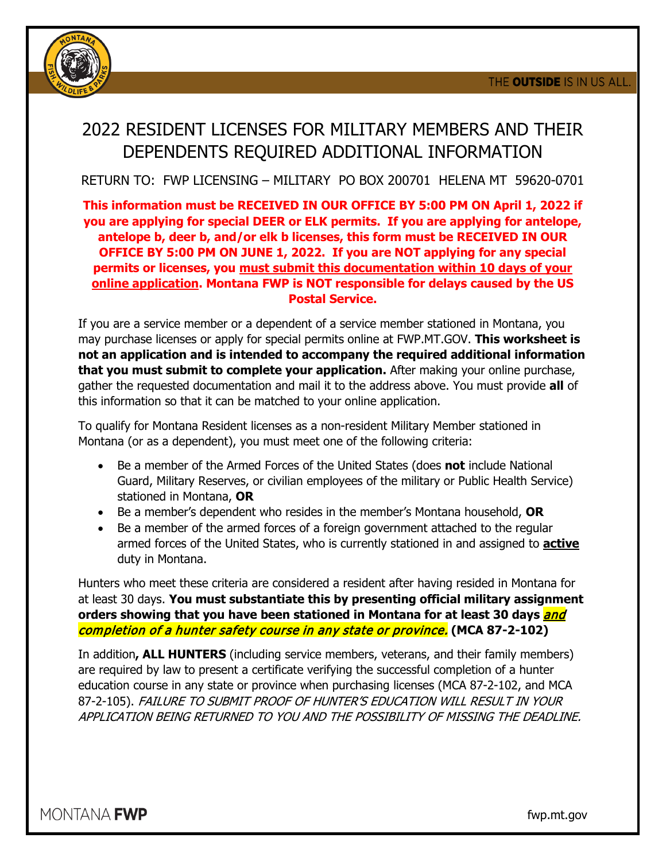

# 2022 RESIDENT LICENSES FOR MILITARY MEMBERS AND THEIR DEPENDENTS REQUIRED ADDITIONAL INFORMATION

RETURN TO: FWP LICENSING – MILITARY PO BOX 200701 HELENA MT 59620-0701

#### **This information must be RECEIVED IN OUR OFFICE BY 5:00 PM ON April 1, 2022 if you are applying for special DEER or ELK permits. If you are applying for antelope, antelope b, deer b, and/or elk b licenses, this form must be RECEIVED IN OUR OFFICE BY 5:00 PM ON JUNE 1, 2022. If you are NOT applying for any special permits or licenses, you must submit this documentation within 10 days of your online application. Montana FWP is NOT responsible for delays caused by the US Postal Service.**

If you are a service member or a dependent of a service member stationed in Montana, you may purchase licenses or apply for special permits online at FWP.MT.GOV. **This worksheet is not an application and is intended to accompany the required additional information that you must submit to complete your application.** After making your online purchase, gather the requested documentation and mail it to the address above. You must provide **all** of this information so that it can be matched to your online application.

To qualify for Montana Resident licenses as a non-resident Military Member stationed in Montana (or as a dependent), you must meet one of the following criteria:

- Be a member of the Armed Forces of the United States (does **not** include National Guard, Military Reserves, or civilian employees of the military or Public Health Service) stationed in Montana, **OR**
- Be a member's dependent who resides in the member's Montana household, **OR**
- Be a member of the armed forces of a foreign government attached to the regular armed forces of the United States, who is currently stationed in and assigned to **active** duty in Montana.

Hunters who meet these criteria are considered a resident after having resided in Montana for at least 30 days. **You must substantiate this by presenting official military assignment orders showing that you have been stationed in Montana for at least 30 days** *and* completion of a hunter safety course in any state or province. **(MCA 87-2-102)**

In addition**, ALL HUNTERS** (including service members, veterans, and their family members) are required by law to present a certificate verifying the successful completion of a hunter education course in any state or province when purchasing licenses (MCA 87-2-102, and MCA 87-2-105). FAILURE TO SUBMIT PROOF OF HUNTER'S EDUCATION WILL RESULT IN YOUR APPLICATION BEING RETURNED TO YOU AND THE POSSIBILITY OF MISSING THE DEADLINE.